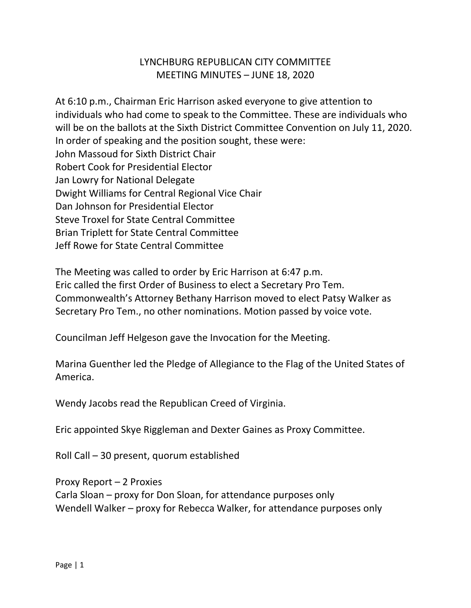## LYNCHBURG REPUBLICAN CITY COMMITTEE MEETING MINUTES – JUNE 18, 2020

At 6:10 p.m., Chairman Eric Harrison asked everyone to give attention to individuals who had come to speak to the Committee. These are individuals who will be on the ballots at the Sixth District Committee Convention on July 11, 2020. In order of speaking and the position sought, these were: John Massoud for Sixth District Chair Robert Cook for Presidential Elector Jan Lowry for National Delegate Dwight Williams for Central Regional Vice Chair Dan Johnson for Presidential Elector Steve Troxel for State Central Committee Brian Triplett for State Central Committee Jeff Rowe for State Central Committee

The Meeting was called to order by Eric Harrison at 6:47 p.m. Eric called the first Order of Business to elect a Secretary Pro Tem. Commonwealth's Attorney Bethany Harrison moved to elect Patsy Walker as Secretary Pro Tem., no other nominations. Motion passed by voice vote.

Councilman Jeff Helgeson gave the Invocation for the Meeting.

Marina Guenther led the Pledge of Allegiance to the Flag of the United States of America.

Wendy Jacobs read the Republican Creed of Virginia.

Eric appointed Skye Riggleman and Dexter Gaines as Proxy Committee.

Roll Call – 30 present, quorum established

Proxy Report – 2 Proxies Carla Sloan – proxy for Don Sloan, for attendance purposes only Wendell Walker – proxy for Rebecca Walker, for attendance purposes only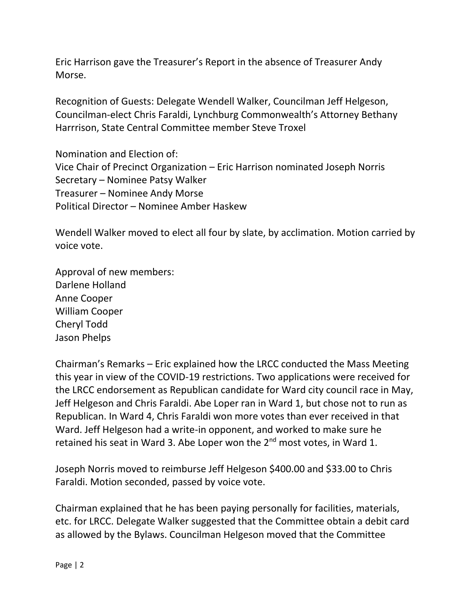Eric Harrison gave the Treasurer's Report in the absence of Treasurer Andy Morse.

Recognition of Guests: Delegate Wendell Walker, Councilman Jeff Helgeson, Councilman-elect Chris Faraldi, Lynchburg Commonwealth's Attorney Bethany Harrrison, State Central Committee member Steve Troxel

Nomination and Election of: Vice Chair of Precinct Organization – Eric Harrison nominated Joseph Norris Secretary – Nominee Patsy Walker Treasurer – Nominee Andy Morse Political Director – Nominee Amber Haskew

Wendell Walker moved to elect all four by slate, by acclimation. Motion carried by voice vote.

Approval of new members: Darlene Holland Anne Cooper William Cooper Cheryl Todd Jason Phelps

Chairman's Remarks – Eric explained how the LRCC conducted the Mass Meeting this year in view of the COVID-19 restrictions. Two applications were received for the LRCC endorsement as Republican candidate for Ward city council race in May, Jeff Helgeson and Chris Faraldi. Abe Loper ran in Ward 1, but chose not to run as Republican. In Ward 4, Chris Faraldi won more votes than ever received in that Ward. Jeff Helgeson had a write-in opponent, and worked to make sure he retained his seat in Ward 3. Abe Loper won the 2<sup>nd</sup> most votes, in Ward 1.

Joseph Norris moved to reimburse Jeff Helgeson \$400.00 and \$33.00 to Chris Faraldi. Motion seconded, passed by voice vote.

Chairman explained that he has been paying personally for facilities, materials, etc. for LRCC. Delegate Walker suggested that the Committee obtain a debit card as allowed by the Bylaws. Councilman Helgeson moved that the Committee